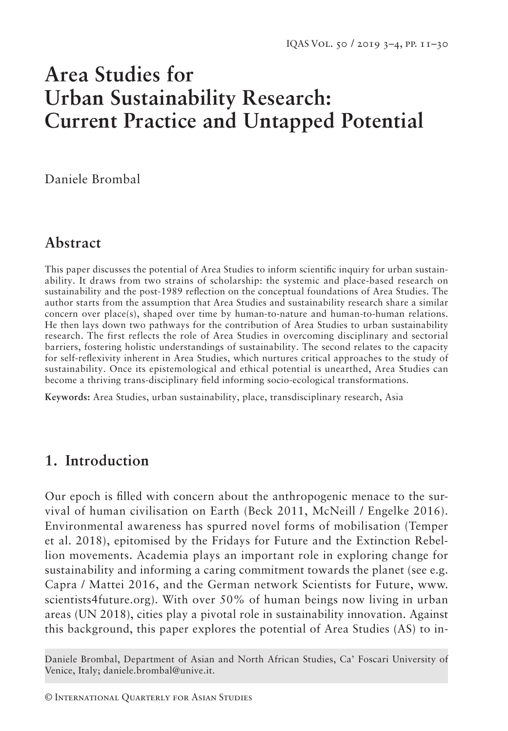# **Area Studies for Urban Sustainability Research: Current Practice and Untapped Potential**

Daniele Brombal

# **Abstract**

This paper discusses the potential of Area Studies to inform scientific inquiry for urban sustainability. It draws from two strains of scholarship: the systemic and place-based research on sustainability and the post-1989 reflection on the conceptual foundations of Area Studies. The author starts from the assumption that Area Studies and sustainability research share a similar concern over place(s), shaped over time by human-to-nature and human-to-human relations. He then lays down two pathways for the contribution of Area Studies to urban sustainability research. The first reflects the role of Area Studies in overcoming disciplinary and sectorial barriers, fostering holistic understandings of sustainability. The second relates to the capacity for self-reflexivity inherent in Area Studies, which nurtures critical approaches to the study of sustainability. Once its epistemological and ethical potential is unearthed, Area Studies can become a thriving trans-disciplinary field informing socio-ecological transformations.

**Keywords:** Area Studies, urban sustainability, place, transdisciplinary research, Asia

# **1. Introduction**

Our epoch is filled with concern about the anthropogenic menace to the survival of human civilisation on Earth (Beck 2011, McNeill / Engelke 2016). Environmental awareness has spurred novel forms of mobilisation (Temper et al. 2018), epitomised by the Fridays for Future and the Extinction Rebellion movements. Academia plays an important role in exploring change for sustainability and informing a caring commitment towards the planet (see e.g. Capra / Mattei 2016, and the German network Scientists for Future, www. scientists4future.org). With over 50% of human beings now living in urban areas (UN 2018), cities play a pivotal role in sustainability innovation. Against this background, this paper explores the potential of Area Studies (AS) to in-

Daniele Brombal, Department of Asian and North African Studies, Ca' Foscari University of Venice, Italy; daniele.brombal@unive.it.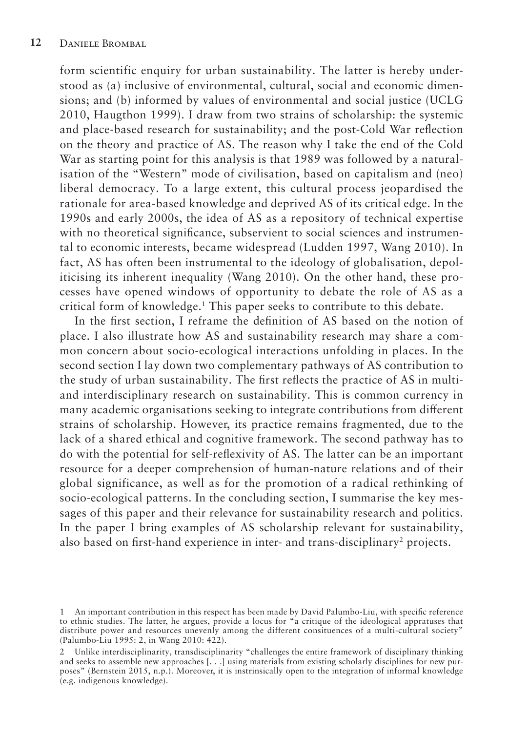form scientific enquiry for urban sustainability. The latter is hereby understood as (a) inclusive of environmental, cultural, social and economic dimensions; and (b) informed by values of environmental and social justice (UCLG 2010, Haugthon 1999). I draw from two strains of scholarship: the systemic and place-based research for sustainability; and the post-Cold War reflection on the theory and practice of AS. The reason why I take the end of the Cold War as starting point for this analysis is that 1989 was followed by a naturalisation of the "Western" mode of civilisation, based on capitalism and (neo) liberal democracy. To a large extent, this cultural process jeopardised the rationale for area-based knowledge and deprived AS of its critical edge. In the 1990s and early 2000s, the idea of AS as a repository of technical expertise with no theoretical significance, subservient to social sciences and instrumental to economic interests, became widespread (Ludden 1997, Wang 2010). In fact, AS has often been instrumental to the ideology of globalisation, depoliticising its inherent inequality (Wang 2010). On the other hand, these processes have opened windows of opportunity to debate the role of AS as a critical form of knowledge.<sup>1</sup> This paper seeks to contribute to this debate.

In the first section, I reframe the definition of AS based on the notion of place. I also illustrate how AS and sustainability research may share a common concern about socio-ecological interactions unfolding in places. In the second section I lay down two complementary pathways of AS contribution to the study of urban sustainability. The first reflects the practice of AS in multiand interdisciplinary research on sustainability. This is common currency in many academic organisations seeking to integrate contributions from different strains of scholarship. However, its practice remains fragmented, due to the lack of a shared ethical and cognitive framework. The second pathway has to do with the potential for self-reflexivity of AS. The latter can be an important resource for a deeper comprehension of human-nature relations and of their global significance, as well as for the promotion of a radical rethinking of socio -ecological patterns. In the concluding section, I summarise the key messages of this paper and their relevance for sustainability research and politics. In the paper I bring examples of AS scholarship relevant for sustainability, also based on first-hand experience in inter- and trans-disciplinary<sup>2</sup> projects.

<sup>1</sup> An important contribution in this respect has been made by David Palumbo-Liu, with specific reference to ethnic studies. The latter, he argues, provide a locus for "a critique of the ideological appratuses that distribute power and resources unevenly among the different consituences of a multi-cultural society" (Palumbo-Liu 1995: 2, in Wang 2010: 422).

<sup>2</sup> Unlike interdisciplinarity, transdisciplinarity "challenges the entire framework of disciplinary thinking and seeks to assemble new approaches [. . .] using materials from existing scholarly disciplines for new purposes" (Bernstein 2015, n.p.). Moreover, it is instrinsically open to the integration of informal knowledge (e.g. indigenous knowledge).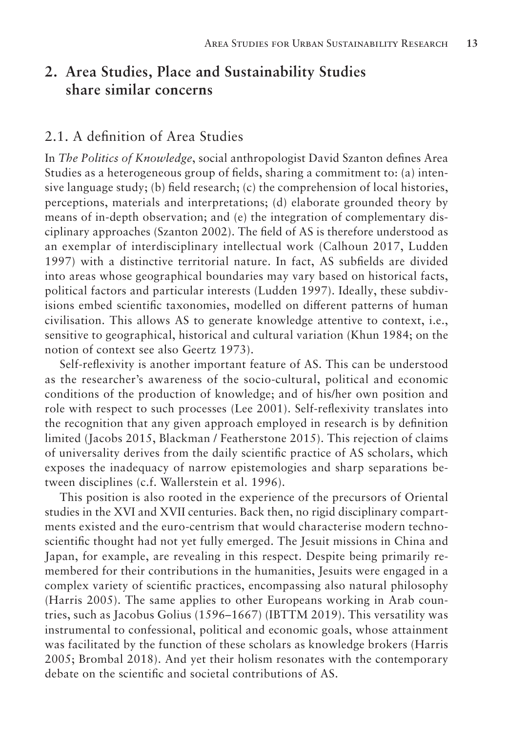# **2. Area Studies, Place and Sustainability Studies share similar concerns**

#### 2.1. A definition of Area Studies

In *The Politics of Knowledge*, social anthropologist David Szanton defines Area Studies as a heterogeneous group of fields, sharing a commitment to: (a) intensive language study; (b) field research; (c) the comprehension of local histories, perceptions, materials and interpretations; (d) elaborate grounded theory by means of in-depth observation; and (e) the integration of complementary disciplinary approaches (Szanton 2002). The field of AS is therefore understood as an exemplar of interdisciplinary intellectual work (Calhoun 2017, Ludden 1997) with a distinctive territorial nature. In fact, AS subfields are divided into areas whose geographical boundaries may vary based on historical facts, political factors and particular interests (Ludden 1997). Ideally, these subdivisions embed scientific taxonomies, modelled on different patterns of human civilisation. This allows AS to generate knowledge attentive to context, i.e., sensitive to geographical, historical and cultural variation (Khun 1984; on the notion of context see also Geertz 1973).

Self-reflexivity is another important feature of AS. This can be understood as the researcher's awareness of the socio-cultural, political and economic conditions of the production of knowledge; and of his/her own position and role with respect to such processes (Lee 2001). Self-reflexivity translates into the recognition that any given approach employed in research is by definition limited (Jacobs 2015, Blackman / Featherstone 2015). This rejection of claims of universality derives from the daily scientific practice of AS scholars, which exposes the inadequacy of narrow epistemologies and sharp separations between disciplines (c.f. Wallerstein et al. 1996).

This position is also rooted in the experience of the precursors of Oriental studies in the XVI and XVII centuries. Back then, no rigid disciplinary compartments existed and the euro-centrism that would characterise modern technoscientific thought had not yet fully emerged. The Jesuit missions in China and Japan, for example, are revealing in this respect. Despite being primarily remembered for their contributions in the humanities, Jesuits were engaged in a complex variety of scientific practices, encompassing also natural philosophy (Harris 2005). The same applies to other Europeans working in Arab countries, such as Jacobus Golius (1596–1667) (IBTTM 2019). This versatility was instrumental to confessional, political and economic goals, whose attainment was facilitated by the function of these scholars as knowledge brokers (Harris 2005; Brombal 2018). And yet their holism resonates with the contemporary debate on the scientific and societal contributions of AS.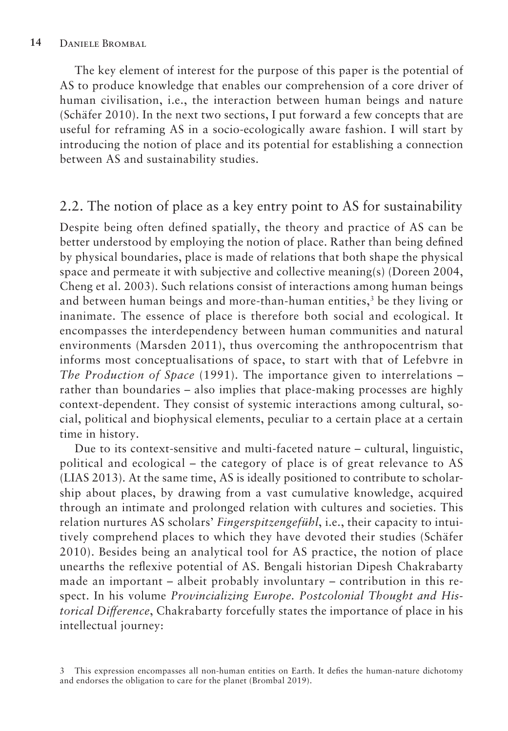The key element of interest for the purpose of this paper is the potential of AS to produce knowledge that enables our comprehension of a core driver of human civilisation, i.e., the interaction between human beings and nature (Schäfer 2010). In the next two sections, I put forward a few concepts that are useful for reframing AS in a socio-ecologically aware fashion. I will start by introducing the notion of place and its potential for establishing a connection between AS and sustainability studies.

# 2.2. The notion of place as a key entry point to AS for sustainability

Despite being often defined spatially, the theory and practice of AS can be better understood by employing the notion of place. Rather than being defined by physical boundaries, place is made of relations that both shape the physical space and permeate it with subjective and collective meaning(s) (Doreen 2004, Cheng et al. 2003). Such relations consist of interactions among human beings and between human beings and more-than-human entities, $<sup>3</sup>$  be they living or</sup> inanimate. The essence of place is therefore both social and ecological. It encompasses the interdependency between human communities and natural environments (Marsden 2011), thus overcoming the anthropocentrism that informs most conceptualisations of space, to start with that of Lefebvre in *The Production of Space* (1991). The importance given to interrelations – rather than boundaries – also implies that place-making processes are highly context-dependent. They consist of systemic interactions among cultural, social, political and biophysical elements, peculiar to a certain place at a certain time in history.

Due to its context-sensitive and multi-faceted nature – cultural, linguistic, political and ecological – the category of place is of great relevance to AS (LIAS 2013). At the same time, AS is ideally positioned to contribute to scholarship about places, by drawing from a vast cumulative knowledge, acquired through an intimate and prolonged relation with cultures and societies. This relation nurtures AS scholars' *Fingerspitzengefühl*, i.e., their capacity to intuitively comprehend places to which they have devoted their studies (Schäfer 2010). Besides being an analytical tool for AS practice, the notion of place unearths the reflexive potential of AS. Bengali historian Dipesh Chakrabarty made an important – albeit probably involuntary – contribution in this respect. In his volume *Provincializing Europe. Postcolonial Thought and Historical Difference*, Chakrabarty forcefully states the importance of place in his intellectual journey:

<sup>3</sup> This expression encompasses all non-human entities on Earth. It defies the human-nature dichotomy and endorses the obligation to care for the planet (Brombal 2019).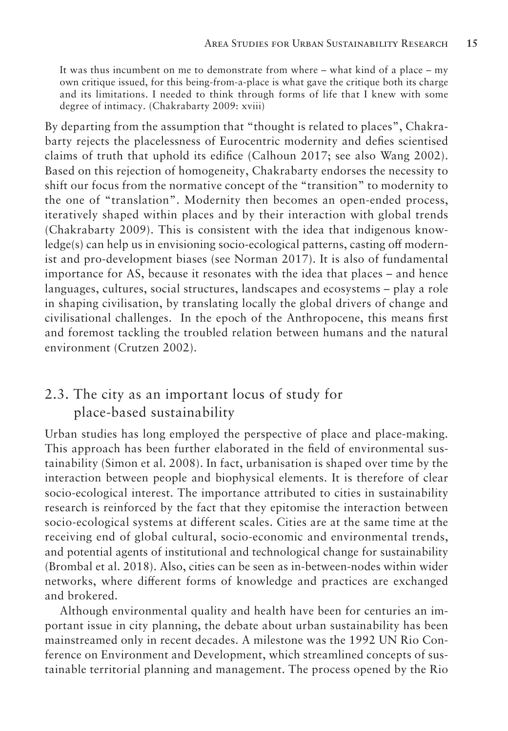It was thus incumbent on me to demonstrate from where – what kind of a place – my own critique issued, for this being-from-a-place is what gave the critique both its charge and its limitations. I needed to think through forms of life that I knew with some degree of intimacy. (Chakrabarty 2009: xviii)

By departing from the assumption that "thought is related to places", Chakrabarty rejects the placelessness of Eurocentric modernity and defies scientised claims of truth that uphold its edifice (Calhoun 2017; see also Wang 2002). Based on this rejection of homogeneity, Chakrabarty endorses the necessity to shift our focus from the normative concept of the "transition" to modernity to the one of "translation". Modernity then becomes an open-ended process, iteratively shaped within places and by their interaction with global trends (Chakrabarty 2009). This is consistent with the idea that indigenous knowledge(s) can help us in envisioning socio-ecological patterns, casting off modernist and pro-development biases (see Norman 2017). It is also of fundamental importance for AS, because it resonates with the idea that places – and hence languages, cultures, social structures, landscapes and ecosystems – play a role in shaping civilisation, by translating locally the global drivers of change and civilisational challenges. In the epoch of the Anthropocene, this means first and foremost tackling the troubled relation between humans and the natural environment (Crutzen 2002).

### 2.3. The city as an important locus of study for place-based sustainability

Urban studies has long employed the perspective of place and place-making. This approach has been further elaborated in the field of environmental sustainability (Simon et al. 2008). In fact, urbanisation is shaped over time by the interaction between people and biophysical elements. It is therefore of clear socio-ecological interest. The importance attributed to cities in sustainability research is reinforced by the fact that they epitomise the interaction between socio-ecological systems at different scales. Cities are at the same time at the receiving end of global cultural, socio-economic and environmental trends, and potential agents of institutional and technological change for sustainability (Brombal et al. 2018). Also, cities can be seen as in-between-nodes within wider networks, where different forms of knowledge and practices are exchanged and brokered.

Although environmental quality and health have been for centuries an important issue in city planning, the debate about urban sustainability has been mainstreamed only in recent decades. A milestone was the 1992 UN Rio Conference on Environment and Development, which streamlined concepts of sustainable territorial planning and management. The process opened by the Rio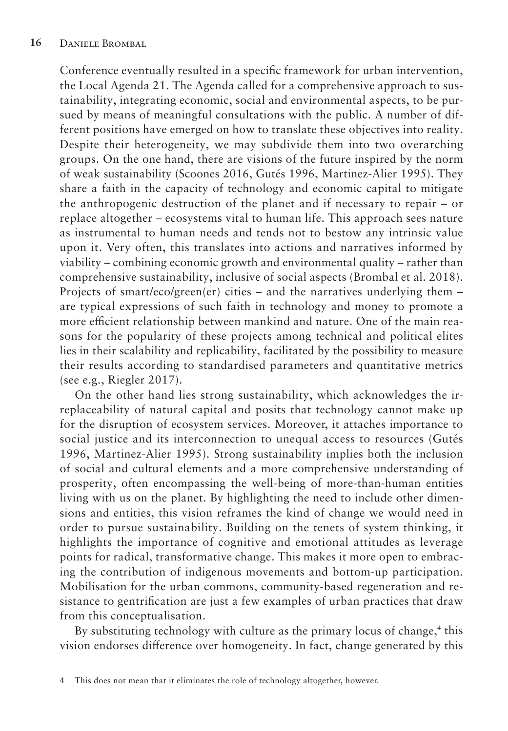Conference eventually resulted in a specific framework for urban intervention, the Local Agenda 21. The Agenda called for a comprehensive approach to sustainability, integrating economic, social and environmental aspects, to be pursued by means of meaningful consultations with the public. A number of different positions have emerged on how to translate these objectives into reality. Despite their heterogeneity, we may subdivide them into two overarching groups. On the one hand, there are visions of the future inspired by the norm of weak sustainability (Scoones 2016, Gutés 1996, Martinez-Alier 1995). They share a faith in the capacity of technology and economic capital to mitigate the anthropogenic destruction of the planet and if necessary to repair – or replace altogether – ecosystems vital to human life. This approach sees nature as instrumental to human needs and tends not to bestow any intrinsic value upon it. Very often, this translates into actions and narratives informed by viability – combining economic growth and environmental quality – rather than comprehensive sustainability, inclusive of social aspects (Brombal et al. 2018). Projects of smart/eco/green(er) cities – and the narratives underlying them – are typical expressions of such faith in technology and money to promote a more efficient relationship between mankind and nature. One of the main reasons for the popularity of these projects among technical and political elites lies in their scalability and replicability, facilitated by the possibility to measure their results according to standardised parameters and quantitative metrics (see e.g., Riegler 2017).

On the other hand lies strong sustainability, which acknowledges the irreplaceability of natural capital and posits that technology cannot make up for the disruption of ecosystem services. Moreover, it attaches importance to social justice and its interconnection to unequal access to resources (Gutés 1996, Martinez-Alier 1995). Strong sustainability implies both the inclusion of social and cultural elements and a more comprehensive understanding of prosperity, often encompassing the well-being of more-than-human entities living with us on the planet. By highlighting the need to include other dimensions and entities, this vision reframes the kind of change we would need in order to pursue sustainability. Building on the tenets of system thinking, it highlights the importance of cognitive and emotional attitudes as leverage points for radical, transformative change. This makes it more open to embracing the contribution of indigenous movements and bottom-up participation. Mobilisation for the urban commons, community-based regeneration and resistance to gentrification are just a few examples of urban practices that draw from this conceptualisation.

By substituting technology with culture as the primary locus of change,<sup>4</sup> this vision endorses difference over homogeneity. In fact, change generated by this

<sup>4</sup> This does not mean that it eliminates the role of technology altogether, however.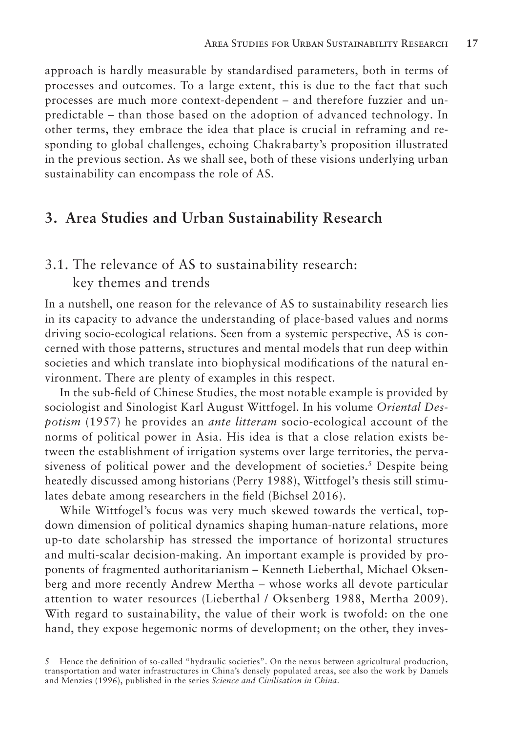approach is hardly measurable by standardised parameters, both in terms of processes and outcomes. To a large extent, this is due to the fact that such processes are much more context-dependent – and therefore fuzzier and unpredictable – than those based on the adoption of advanced technology. In other terms, they embrace the idea that place is crucial in reframing and responding to global challenges, echoing Chakrabarty's proposition illustrated in the previous section. As we shall see, both of these visions underlying urban sustainability can encompass the role of AS.

#### **3. Area Studies and Urban Sustainability Research**

# 3.1. The relevance of AS to sustainability research: key themes and trends

In a nutshell, one reason for the relevance of AS to sustainability research lies in its capacity to advance the understanding of place-based values and norms driving socio-ecological relations. Seen from a systemic perspective, AS is concerned with those patterns, structures and mental models that run deep within societies and which translate into biophysical modifications of the natural environment. There are plenty of examples in this respect.

In the sub-field of Chinese Studies, the most notable example is provided by sociologist and Sinologist Karl August Wittfogel. In his volume *Oriental Despotism* (1957) he provides an *ante litteram* socio-ecological account of the norms of political power in Asia. His idea is that a close relation exists between the establishment of irrigation systems over large territories, the pervasiveness of political power and the development of societies.<sup>5</sup> Despite being heatedly discussed among historians (Perry 1988), Wittfogel's thesis still stimulates debate among researchers in the field (Bichsel 2016).

While Wittfogel's focus was very much skewed towards the vertical, topdown dimension of political dynamics shaping human-nature relations, more up-to date scholarship has stressed the importance of horizontal structures and multi-scalar decision-making. An important example is provided by proponents of fragmented authoritarianism – Kenneth Lieberthal, Michael Oksenberg and more recently Andrew Mertha – whose works all devote particular attention to water resources (Lieberthal / Oksenberg 1988, Mertha 2009). With regard to sustainability, the value of their work is twofold: on the one hand, they expose hegemonic norms of development; on the other, they inves-

<sup>5</sup> Hence the definition of so-called "hydraulic societies". On the nexus between agricultural production, transportation and water infrastructures in China's densely populated areas, see also the work by Daniels and Menzies (1996), published in the series *Science and Civilisation in China*.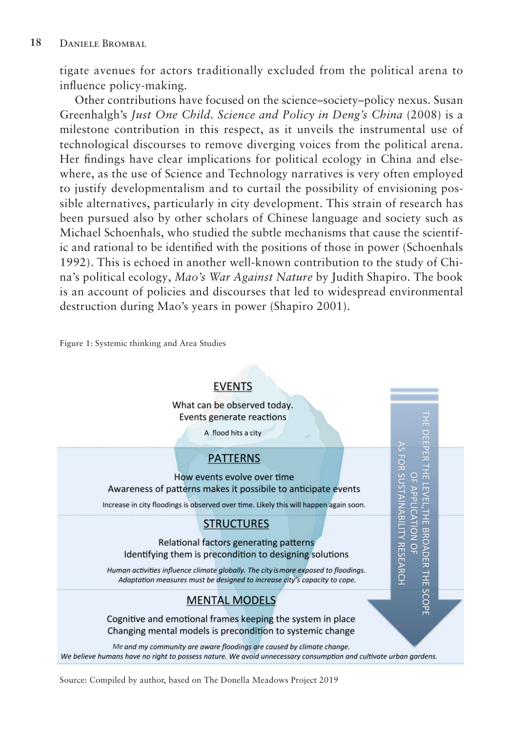tigate avenues for actors traditionally excluded from the political arena to influence policy-making.

Other contributions have focused on the science–society–policy nexus. Susan Greenhalgh's *Just One Child. Science and Policy in Deng's China* (2008) is a milestone contribution in this respect, as it unveils the instrumental use of technological discourses to remove diverging voices from the political arena. Her findings have clear implications for political ecology in China and elsewhere, as the use of Science and Technology narratives is very often employed to justify developmentalism and to curtail the possibility of envisioning possible alternatives, particularly in city development. This strain of research has been pursued also by other scholars of Chinese language and society such as Michael Schoenhals, who studied the subtle mechanisms that cause the scientific and rational to be identified with the positions of those in power (Schoenhals 1992). This is echoed in another well-known contribution to the study of China's political ecology, *Mao's War Against Nature* by Judith Shapiro. The book is an account of policies and discourses that led to widespread environmental destruction during Mao's years in power (Shapiro 2001).

Figure 1: Systemic thinking and Area Studies



Source: Compiled by author, based on The Donella Meadows Project 2019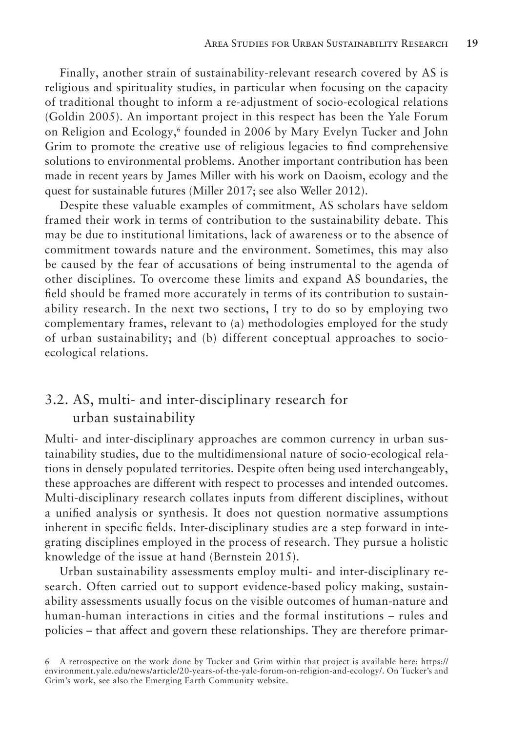Finally, another strain of sustainability-relevant research covered by AS is religious and spirituality studies, in particular when focusing on the capacity of traditional thought to inform a re-adjustment of socio-ecological relations (Goldin 2005). An important project in this respect has been the Yale Forum on Religion and Ecology,6 founded in 2006 by Mary Evelyn Tucker and John Grim to promote the creative use of religious legacies to find comprehensive solutions to environmental problems. Another important contribution has been made in recent years by James Miller with his work on Daoism, ecology and the quest for sustainable futures (Miller 2017; see also Weller 2012).

Despite these valuable examples of commitment, AS scholars have seldom framed their work in terms of contribution to the sustainability debate. This may be due to institutional limitations, lack of awareness or to the absence of commitment towards nature and the environment. Sometimes, this may also be caused by the fear of accusations of being instrumental to the agenda of other disciplines. To overcome these limits and expand AS boundaries, the field should be framed more accurately in terms of its contribution to sustainability research. In the next two sections, I try to do so by employing two complementary frames, relevant to (a) methodologies employed for the study of urban sustainability; and (b) different conceptual approaches to socioecological relations.

# 3.2. AS, multi- and inter-disciplinary research for urban sustainability

Multi- and inter-disciplinary approaches are common currency in urban sustainability studies, due to the multidimensional nature of socio-ecological relations in densely populated territories. Despite often being used interchangeably, these approaches are different with respect to processes and intended outcomes. Multi-disciplinary research collates inputs from different disciplines, without a unified analysis or synthesis. It does not question normative assumptions inherent in specific fields. Inter-disciplinary studies are a step forward in integrating disciplines employed in the process of research. They pursue a holistic knowledge of the issue at hand (Bernstein 2015).

Urban sustainability assessments employ multi- and inter-disciplinary research. Often carried out to support evidence-based policy making, sustainability assessments usually focus on the visible outcomes of human-nature and human-human interactions in cities and the formal institutions – rules and policies – that affect and govern these relationships. They are therefore primar-

<sup>6</sup> A retrospective on the work done by Tucker and Grim within that project is available here: https:// environment.yale.edu/news/article/20-years-of-the-yale-forum-on-religion-and-ecology/. On Tucker's and Grim's work, see also the Emerging Earth Community website.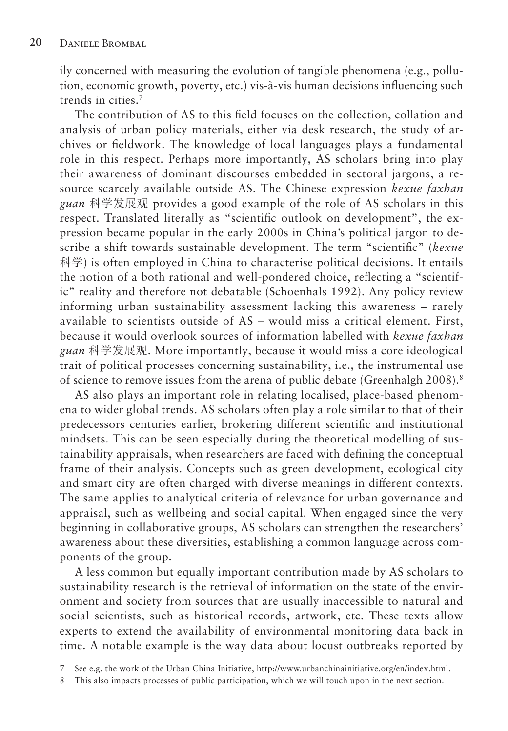ily concerned with measuring the evolution of tangible phenomena (e.g., pollution, economic growth, poverty, etc.) vis-à-vis human decisions influencing such trends in cities.7

The contribution of AS to this field focuses on the collection, collation and analysis of urban policy materials, either via desk research, the study of archives or fieldwork. The knowledge of local languages plays a fundamental role in this respect. Perhaps more importantly, AS scholars bring into play their awareness of dominant discourses embedded in sectoral jargons, a resource scarcely available outside AS. The Chinese expression *kexue faxhan guan* 科学发展观 provides a good example of the role of AS scholars in this respect. Translated literally as "scientific outlook on development", the expression became popular in the early 2000s in China's political jargon to describe a shift towards sustainable development. The term "scientific" (*kexue* 科学) is often employed in China to characterise political decisions. It entails the notion of a both rational and well-pondered choice, reflecting a "scientific" reality and therefore not debatable (Schoenhals 1992). Any policy review informing urban sustainability assessment lacking this awareness – rarely available to scientists outside of AS – would miss a critical element. First, because it would overlook sources of information labelled with *kexue faxhan guan* 科学发展观. More importantly, because it would miss a core ideological trait of political processes concerning sustainability, i.e., the instrumental use of science to remove issues from the arena of public debate (Greenhalgh 2008).<sup>8</sup>

AS also plays an important role in relating localised, place-based phenomena to wider global trends. AS scholars often play a role similar to that of their predecessors centuries earlier, brokering different scientific and institutional mindsets. This can be seen especially during the theoretical modelling of sustainability appraisals, when researchers are faced with defining the conceptual frame of their analysis. Concepts such as green development, ecological city and smart city are often charged with diverse meanings in different contexts. The same applies to analytical criteria of relevance for urban governance and appraisal, such as wellbeing and social capital. When engaged since the very beginning in collaborative groups, AS scholars can strengthen the researchers' awareness about these diversities, establishing a common language across components of the group.

A less common but equally important contribution made by AS scholars to sustainability research is the retrieval of information on the state of the environment and society from sources that are usually inaccessible to natural and social scientists, such as historical records, artwork, etc. These texts allow experts to extend the availability of environmental monitoring data back in time. A notable example is the way data about locust outbreaks reported by

<sup>7</sup> See e.g. the work of the Urban China Initiative, http://www.urbanchinainitiative.org/en/index.html.

<sup>8</sup> This also impacts processes of public participation, which we will touch upon in the next section.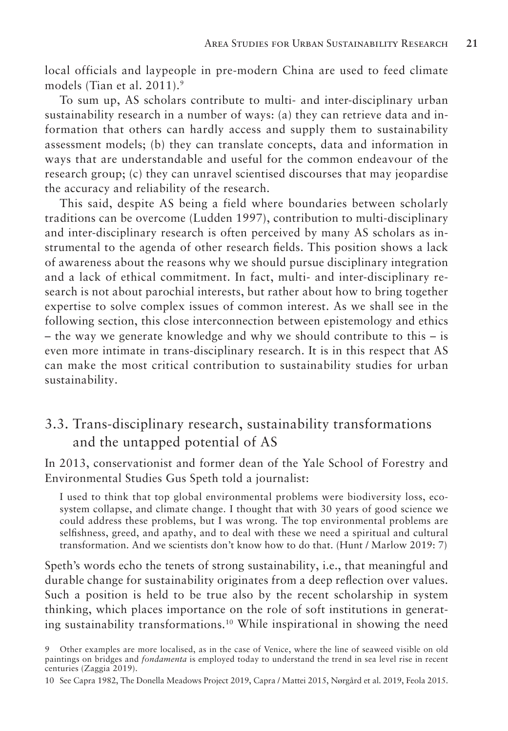local officials and laypeople in pre-modern China are used to feed climate models (Tian et al. 2011).9

To sum up, AS scholars contribute to multi- and inter-disciplinary urban sustainability research in a number of ways: (a) they can retrieve data and information that others can hardly access and supply them to sustainability assessment models; (b) they can translate concepts, data and information in ways that are understandable and useful for the common endeavour of the research group; (c) they can unravel scientised discourses that may jeopardise the accuracy and reliability of the research.

This said, despite AS being a field where boundaries between scholarly traditions can be overcome (Ludden 1997), contribution to multi-disciplinary and inter-disciplinary research is often perceived by many AS scholars as instrumental to the agenda of other research fields. This position shows a lack of awareness about the reasons why we should pursue disciplinary integration and a lack of ethical commitment. In fact, multi- and inter-disciplinary research is not about parochial interests, but rather about how to bring together expertise to solve complex issues of common interest. As we shall see in the following section, this close interconnection between epistemology and ethics – the way we generate knowledge and why we should contribute to this – is even more intimate in trans-disciplinary research. It is in this respect that AS can make the most critical contribution to sustainability studies for urban sustainability.

## 3.3. Trans-disciplinary research, sustainability transformations and the untapped potential of AS

In 2013, conservationist and former dean of the Yale School of Forestry and Environmental Studies Gus Speth told a journalist:

I used to think that top global environmental problems were biodiversity loss, ecosystem collapse, and climate change. I thought that with 30 years of good science we could address these problems, but I was wrong. The top environmental problems are selfishness, greed, and apathy, and to deal with these we need a spiritual and cultural transformation. And we scientists don't know how to do that. (Hunt / Marlow 2019: 7)

Speth's words echo the tenets of strong sustainability, i.e., that meaningful and durable change for sustainability originates from a deep reflection over values. Such a position is held to be true also by the recent scholarship in system thinking, which places importance on the role of soft institutions in generating sustainability transformations.10 While inspirational in showing the need

10 See Capra 1982, The Donella Meadows Project 2019, Capra / Mattei 2015, Nørgård et al. 2019, Feola 2015.

<sup>9</sup> Other examples are more localised, as in the case of Venice, where the line of seaweed visible on old paintings on bridges and *fondamenta* is employed today to understand the trend in sea level rise in recent centuries (Zaggia 2019).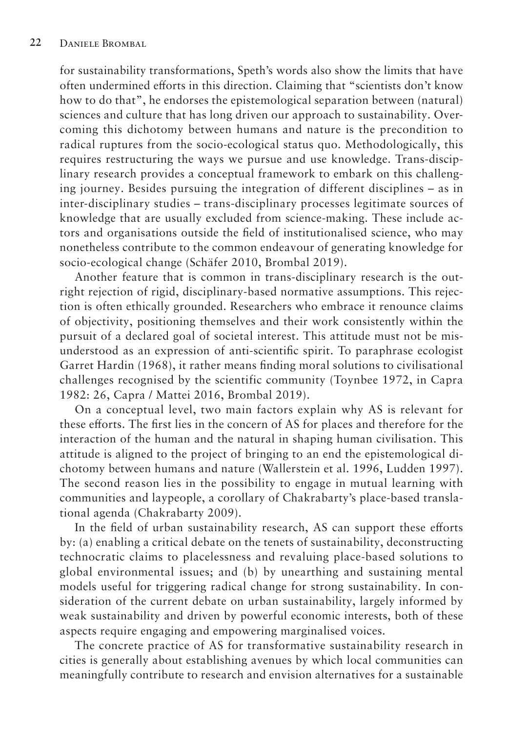for sustainability transformations, Speth's words also show the limits that have often undermined efforts in this direction. Claiming that "scientists don't know how to do that", he endorses the epistemological separation between (natural) sciences and culture that has long driven our approach to sustainability. Overcoming this dichotomy between humans and nature is the precondition to radical ruptures from the socio-ecological status quo. Methodologically, this requires restructuring the ways we pursue and use knowledge. Trans-disciplinary research provides a conceptual framework to embark on this challenging journey. Besides pursuing the integration of different disciplines – as in inter-disciplinary studies – trans-disciplinary processes legitimate sources of knowledge that are usually excluded from science-making. These include actors and organisations outside the field of institutionalised science, who may nonetheless contribute to the common endeavour of generating knowledge for socio-ecological change (Schäfer 2010, Brombal 2019).

Another feature that is common in trans-disciplinary research is the outright rejection of rigid, disciplinary-based normative assumptions. This rejection is often ethically grounded. Researchers who embrace it renounce claims of objectivity, positioning themselves and their work consistently within the pursuit of a declared goal of societal interest. This attitude must not be misunderstood as an expression of anti-scientific spirit. To paraphrase ecologist Garret Hardin (1968), it rather means finding moral solutions to civilisational challenges recognised by the scientific community (Toynbee 1972, in Capra 1982: 26, Capra / Mattei 2016, Brombal 2019).

On a conceptual level, two main factors explain why AS is relevant for these efforts. The first lies in the concern of AS for places and therefore for the interaction of the human and the natural in shaping human civilisation. This attitude is aligned to the project of bringing to an end the epistemological dichotomy between humans and nature (Wallerstein et al. 1996, Ludden 1997). The second reason lies in the possibility to engage in mutual learning with communities and laypeople, a corollary of Chakrabarty's place-based translational agenda (Chakrabarty 2009).

In the field of urban sustainability research, AS can support these efforts by: (a) enabling a critical debate on the tenets of sustainability, deconstructing technocratic claims to placelessness and revaluing place-based solutions to global environmental issues; and (b) by unearthing and sustaining mental models useful for triggering radical change for strong sustainability. In consideration of the current debate on urban sustainability, largely informed by weak sustainability and driven by powerful economic interests, both of these aspects require engaging and empowering marginalised voices.

The concrete practice of AS for transformative sustainability research in cities is generally about establishing avenues by which local communities can meaningfully contribute to research and envision alternatives for a sustainable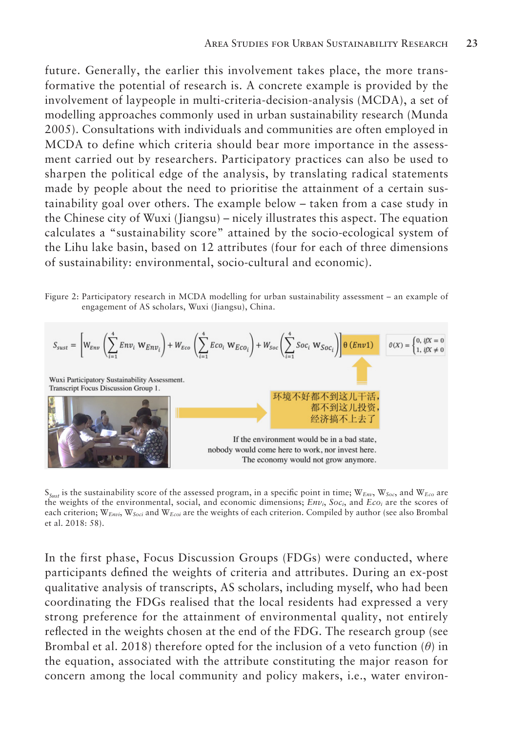future. Generally, the earlier this involvement takes place, the more transformative the potential of research is. A concrete example is provided by the involvement of laypeople in multi-criteria-decision-analysis (MCDA), a set of modelling approaches commonly used in urban sustainability research (Munda 2005). Consultations with individuals and communities are often employed in MCDA to define which criteria should bear more importance in the assessment carried out by researchers. Participatory practices can also be used to sharpen the political edge of the analysis, by translating radical statements made by people about the need to prioritise the attainment of a certain sustainability goal over others. The example below – taken from a case study in the Chinese city of Wuxi (Jiangsu) – nicely illustrates this aspect. The equation calculates a "sustainability score" attained by the socio-ecological system of the Lihu lake basin, based on 12 attributes (four for each of three dimensions of sustainability: environmental, socio-cultural and economic).

Figure 2: Participatory research in MCDA modelling for urban sustainability assessment – an example of engagement of AS scholars, Wuxi (Jiangsu), China.



S*Sust* is the sustainability score of the assessed program, in a specific point in time; W*Env*, W*Soc*, and W*Eco* are the weights of the environmental, social, and economic dimensions; *Envi*, *Soci*, and *Ecoi* are the scores of each criterion; W*Envi*, W*Soci* and W*Ecoi* are the weights of each criterion. Compiled by author (see also Brombal et al. 2018: 58).

In the first phase, Focus Discussion Groups (FDGs) were conducted, where participants defined the weights of criteria and attributes. During an ex-post qualitative analysis of transcripts, AS scholars, including myself, who had been coordinating the FDGs realised that the local residents had expressed a very strong preference for the attainment of environmental quality, not entirely reflected in the weights chosen at the end of the FDG. The research group (see Brombal et al. 2018) therefore opted for the inclusion of a veto function (*θ*) in the equation, associated with the attribute constituting the major reason for concern among the local community and policy makers, i.e., water environ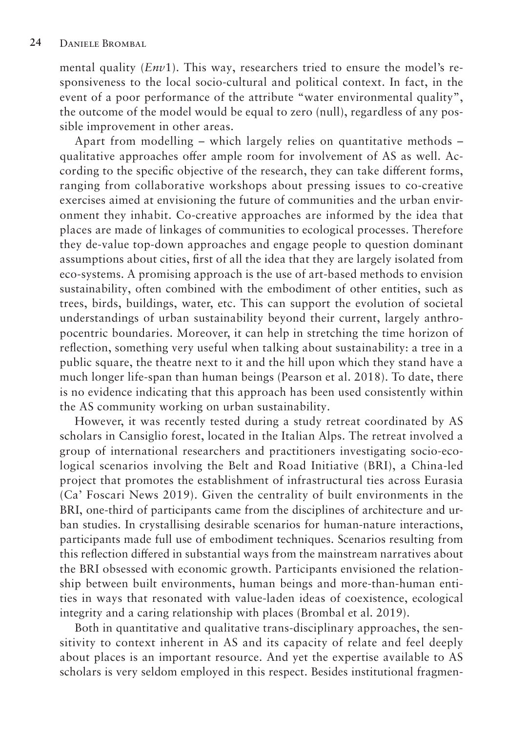mental quality (*Env*1). This way, researchers tried to ensure the model's responsiveness to the local socio-cultural and political context. In fact, in the event of a poor performance of the attribute "water environmental quality", the outcome of the model would be equal to zero (null), regardless of any possible improvement in other areas.

Apart from modelling – which largely relies on quantitative methods – qualitative approaches offer ample room for involvement of AS as well. According to the specific objective of the research, they can take different forms, ranging from collaborative workshops about pressing issues to co-creative exercises aimed at envisioning the future of communities and the urban environment they inhabit. Co-creative approaches are informed by the idea that places are made of linkages of communities to ecological processes. Therefore they de-value top-down approaches and engage people to question dominant assumptions about cities, first of all the idea that they are largely isolated from eco-systems. A promising approach is the use of art-based methods to envision sustainability, often combined with the embodiment of other entities, such as trees, birds, buildings, water, etc. This can support the evolution of societal understandings of urban sustainability beyond their current, largely anthropocentric boundaries. Moreover, it can help in stretching the time horizon of reflection, something very useful when talking about sustainability: a tree in a public square, the theatre next to it and the hill upon which they stand have a much longer life-span than human beings (Pearson et al. 2018). To date, there is no evidence indicating that this approach has been used consistently within the AS community working on urban sustainability.

However, it was recently tested during a study retreat coordinated by AS scholars in Cansiglio forest, located in the Italian Alps. The retreat involved a group of international researchers and practitioners investigating socio-ecological scenarios involving the Belt and Road Initiative (BRI), a China-led project that promotes the establishment of infrastructural ties across Eurasia (Ca' Foscari News 2019). Given the centrality of built environments in the BRI, one-third of participants came from the disciplines of architecture and urban studies. In crystallising desirable scenarios for human-nature interactions, participants made full use of embodiment techniques. Scenarios resulting from this reflection differed in substantial ways from the mainstream narratives about the BRI obsessed with economic growth. Participants envisioned the relationship between built environments, human beings and more-than-human entities in ways that resonated with value-laden ideas of coexistence, ecological integrity and a caring relationship with places (Brombal et al. 2019).

Both in quantitative and qualitative trans-disciplinary approaches, the sensitivity to context inherent in AS and its capacity of relate and feel deeply about places is an important resource. And yet the expertise available to AS scholars is very seldom employed in this respect. Besides institutional fragmen-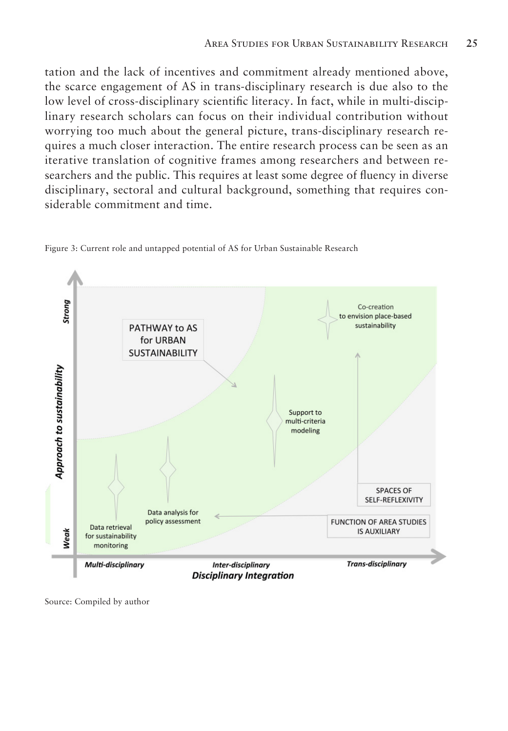tation and the lack of incentives and commitment already mentioned above, the scarce engagement of AS in trans-disciplinary research is due also to the low level of cross-disciplinary scientific literacy. In fact, while in multi-disciplinary research scholars can focus on their individual contribution without worrying too much about the general picture, trans-disciplinary research requires a much closer interaction. The entire research process can be seen as an iterative translation of cognitive frames among researchers and between researchers and the public. This requires at least some degree of fluency in diverse disciplinary, sectoral and cultural background, something that requires considerable commitment and time.



Figure 3: Current role and untapped potential of AS for Urban Sustainable Research

Source: Compiled by author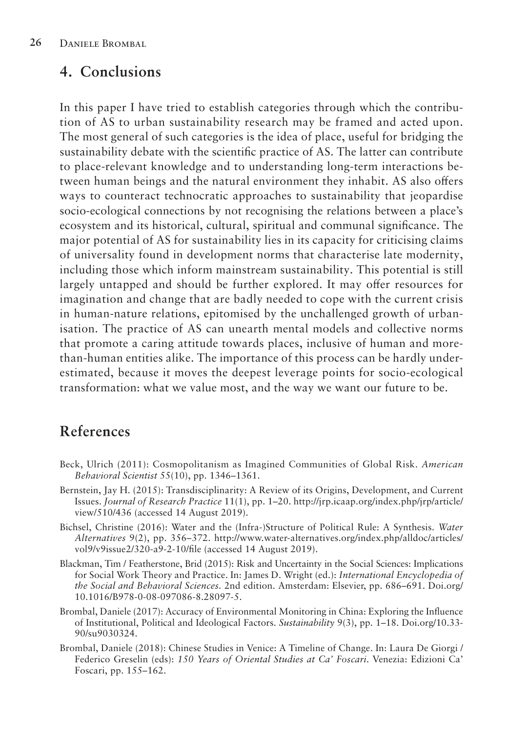### **4. Conclusions**

In this paper I have tried to establish categories through which the contribution of AS to urban sustainability research may be framed and acted upon. The most general of such categories is the idea of place, useful for bridging the sustainability debate with the scientific practice of AS. The latter can contribute to place-relevant knowledge and to understanding long-term interactions between human beings and the natural environment they inhabit. AS also offers ways to counteract technocratic approaches to sustainability that jeopardise socio-ecological connections by not recognising the relations between a place's ecosystem and its historical, cultural, spiritual and communal significance. The major potential of AS for sustainability lies in its capacity for criticising claims of universality found in development norms that characterise late modernity, including those which inform mainstream sustainability. This potential is still largely untapped and should be further explored. It may offer resources for imagination and change that are badly needed to cope with the current crisis in human-nature relations, epitomised by the unchallenged growth of urbanisation. The practice of AS can unearth mental models and collective norms that promote a caring attitude towards places, inclusive of human and morethan-human entities alike. The importance of this process can be hardly underestimated, because it moves the deepest leverage points for socio-ecological transformation: what we value most, and the way we want our future to be.

# **References**

- Beck, Ulrich (2011): Cosmopolitanism as Imagined Communities of Global Risk. *American Behavioral Scientist* 55(10), pp. 1346–1361.
- Bernstein, Jay H. (2015): Transdisciplinarity: A Review of its Origins, Development, and Current Issues. *Journal of Research Practice* 11(1), pp. 1–20. http://jrp.icaap.org/index.php/jrp/article/ view/510/436 (accessed 14 August 2019).
- Bichsel, Christine (2016): Water and the (Infra-)Structure of Political Rule: A Synthesis. *Water Alternatives* 9(2), pp. 356–372. http://www.water-alternatives.org/index.php/alldoc/articles/ vol9/v9issue2/320-a9-2-10/file (accessed 14 August 2019).
- Blackman, Tim / Featherstone, Brid (2015): Risk and Uncertainty in the Social Sciences: Implications for Social Work Theory and Practice. In: James D. Wright (ed.): *International Encyclopedia of the Social and Behavioral Sciences.* 2nd edition. Amsterdam: Elsevier, pp. 686–691. Doi.org/ 10. 10 16/B978-0-08-097086-8.28097-5.
- Brombal, Daniele (2017): Accuracy of Environmental Monitoring in China: Exploring the Influence of Institutional, Political and Ideological Factors. *Sustainability* 9(3), pp. 1–18. Doi.org/10.3 3- 90/<sub>su</sub>9030324.
- Brombal, Daniele (2018): Chinese Studies in Venice: A Timeline of Change. In: Laura De Giorgi / Federico Greselin (eds): *150 Years of Oriental Studies at Ca' Foscari*. Venezia: Edizioni Ca' Foscari, pp. 155–162.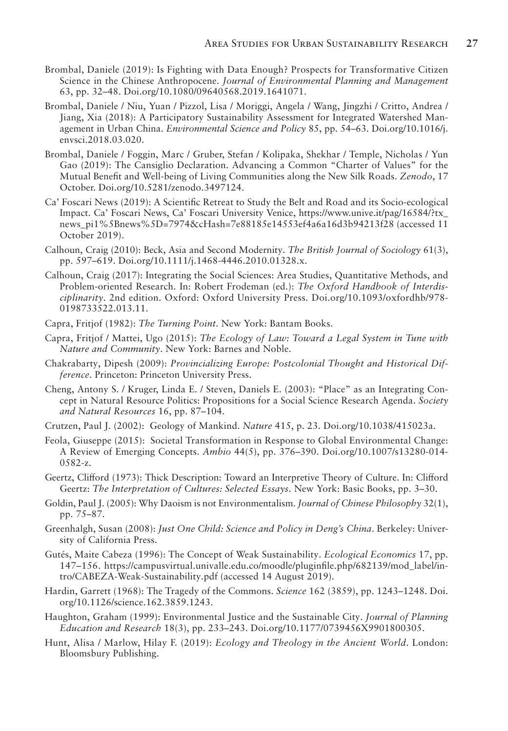- Brombal, Daniele (2019): Is Fighting with Data Enough? Prospects for Transformative Citizen Science in the Chinese Anthropocene. *Journal of Environmental Planning and Management*  63, pp. 32–48. Doi.org/10.1080/09640568.2019.1641071.
- Brombal, Daniele / Niu, Yuan / Pizzol, Lisa / Moriggi, Angela / Wang, Jingzhi / Critto, Andrea / Jiang, Xia (2018): A Participatory Sustainability Assessment for Integrated Watershed Management in Urban China. *Environmental Science and Policy* 85, pp. 54–63. Doi.org/10.1016/j. envsci.2018.03.020.
- Brombal, Daniele / Foggin, Marc / Gruber, Stefan / Kolipaka, Shekhar / Temple, Nicholas / Yun Gao (2019): The Cansiglio Declaration. Advancing a Common "Charter of Values" for the Mutual Benefit and Well-being of Living Communities along the New Silk Roads. *Zenodo*, 17 October. Doi.org/10.5281/zenodo.3497124.
- Ca' Foscari News (2019): A Scientific Retreat to Study the Belt and Road and its Socio-ecological Impact. Ca' Foscari News, Ca' Foscari University Venice, https://www.unive.it/pag/16584/?tx\_ news\_pi1%5Bnews%5D=7974&cHash=7e88185e14553ef4a6a16d3b94213f28 (accessed 11 October 2019).
- Calhoun, Craig (2010): Beck, Asia and Second Modernity. *The British Journal of Sociology* 61(3), pp. 597–619. Doi.org/10.1111/j.1468-4446.2010.01328.x.
- Calhoun, Craig (2017): Integrating the Social Sciences: Area Studies, Quantitative Methods, and Problem-oriented Research. In: Robert Frodeman (ed.): *The Oxford Handbook of Interdisciplin arity*. 2nd edition. Oxford: Oxford University Press. Doi.org/10.1093/oxfordhb/978- 0 198733522.013.11.
- Capra, Fritjof (1982): *The Turning Point*. New York: Bantam Books.
- Capra, Fritjof / Mattei, Ugo (2015): *The Ecology of Law: Toward a Legal System in Tune with Nature and Community*. New York: Barnes and Noble.
- Chakrabarty, Dipesh (2009): *Provincializing Europe: Postcolonial Thought and Historical Difference*. Princeton: Princeton University Press.
- Cheng, Antony S. / Kruger, Linda E. / Steven, Daniels E. (2003): "Place" as an Integrating Concept in Natural Resource Politics: Propositions for a Social Science Research Agenda. *Society and Natural Resources* 16, pp. 87–104.
- Crutzen, Paul J. (2002): Geology of Mankind. *Nature* 415, p. 23. Doi.org/10.1038/415023a.
- Feola, Giuseppe (2015): Societal Transformation in Response to Global Environmental Change: A Review of Emerging Concepts. *Ambio* 44(5), pp. 376–390. Doi.org/10.1007/s13280-014- 0582-z.
- Geertz, Clifford (1973): Thick Description: Toward an Interpretive Theory of Culture. In: Clifford Geertz: *The Interpretation of Cultures: Selected Essays*. New York: Basic Books, pp. 3–30.
- Goldin, Paul J. (2005): Why Daoism is not Environmentalism. *Journal of Chinese Philosophy* 32(1), pp. 75–87.
- Greenhalgh, Susan (2008): *Just One Child: Science and Policy in Deng's China*. Berkeley: University of California Press.
- Gutés, Maite Cabeza (1996): The Concept of Weak Sustainability. *Ecological Economics* 17, pp. 147–156. https://campusvirtual.univalle.edu.co/moodle/pluginfile.php/682139/mod\_label/intro/CABEZA-Weak-Sustainability.pdf (accessed 14 August 2019).
- Hardin, Garrett (1968): The Tragedy of the Commons. *Science* 162 (3859), pp. 1243–1248. Doi. org/10.1126/science.162.3859.1243.
- Haughton, Graham (1999): Environmental Justice and the Sustainable City. *Journal of Planning Education and Research* 18(3), pp. 233–243. Doi.org/10.1177/0739456X9901800305.
- Hunt, Alisa / Marlow, Hilay F. (2019): *Ecology and Theology in the Ancient World*. London: Bloomsbury Publishing.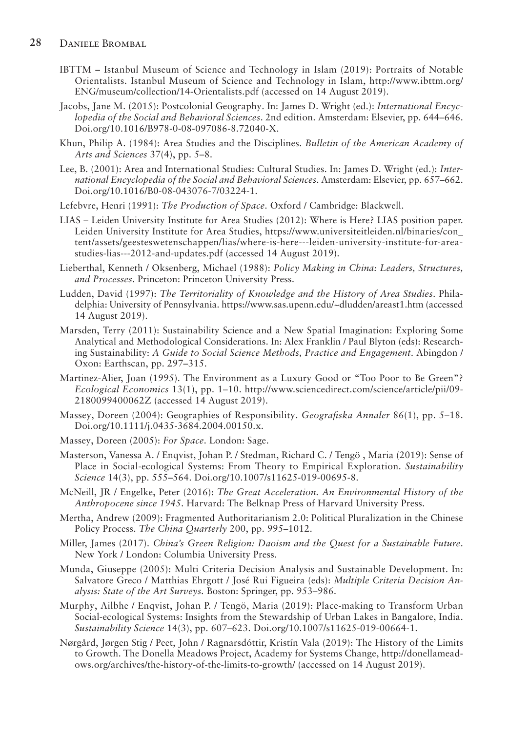- IBTTM Istanbul Museum of Science and Technology in Islam (2019): Portraits of Notable Orientalists. Istanbul Museum of Science and Technology in Islam, http://www.ibttm.org/ ENG/museum/collection/14-Orientalists.pdf (accessed on 14 August 2019).
- Jacobs, Jane M. (2015): Postcolonial Geography. In: James D. Wright (ed.): *International Encyclopedia of the Social and Behavioral Sciences*. 2nd edition. Amsterdam: Elsevier, pp. 644–646. Doi.org/10.1016/B978-0-08-097086-8.72040-X.
- Khun, Philip A. (1984): Area Studies and the Disciplines. *Bulletin of the American Academy of Arts and Sciences* 37(4), pp. 5–8.
- Lee, B. (2001): Area and International Studies: Cultural Studies. In: James D. Wright (ed.): *International Encyclopedia of the Social and Behavioral Sciences*. Amsterdam: Elsevier, pp. 657–662. Doi.org/10.1016/B0-08-043076-7/03224-1.
- Lefebvre, Henri (1991): *The Production of Space*. Oxford / Cambridge: Blackwell.
- LIAS Leiden University Institute for Area Studies (2012): Where is Here? LIAS position paper. Leiden University Institute for Area Studies, https://www.universiteitleiden.nl/binaries/con\_ tent/ assets/geesteswetenschappen/lias/where-is-here---leiden-university-institute-for-areastudies-lias---2012-and-updates.pdf (accessed 14 August 2019).
- Lieberthal, Kenneth / Oksenberg, Michael (1988): *Policy Making in China: Leaders, Structures, and Processes*. Princeton: Princeton University Press.
- Ludden, David (1997): *The Territoriality of Knowledge and the History of Area Studies*. Philadelphia: University of Pennsylvania. https://www.sas.upenn.edu/~dludden/areast1.htm (accessed 14 August 2019).
- Marsden, Terry (2011): Sustainability Science and a New Spatial Imagination: Exploring Some Analytical and Methodological Considerations. In: Alex Franklin / Paul Blyton (eds): Researching Sustainability: *A Guide to Social Science Methods, Practice and Engagement*. Abingdon / Oxon: Earthscan, pp. 297–315.
- Martinez-Alier, Joan (1995). The Environment as a Luxury Good or "Too Poor to Be Green"? *Ecological Economics* 13(1), pp. 1–10. http://www.sciencedirect.com/science/article/pii/09- 2 1 80099400062Z (accessed 14 August 2019).
- Massey, Doreen (2004): Geographies of Responsibility. *Geografiska Annaler* 86(1), pp. 5–18. Doi.org/10.1111/j.0435-3684.2004.00150.x.
- Massey, Doreen (2005): *For Space*. London: Sage.
- Masterson, Vanessa A. / Enqvist, Johan P. / Stedman, Richard C. / Tengö , Maria (2019): Sense of Place in Social-ecological Systems: From Theory to Empirical Exploration. *Sustainability Science* 14(3), pp. 555–564. Doi.org/10.1007/s11625-019-00695-8.
- McNeill, JR / Engelke, Peter (2016): *The Great Acceleration. An Environmental History of the Anthropocene since 1945*. Harvard: The Belknap Press of Harvard University Press.
- Mertha, Andrew (2009): Fragmented Authoritarianism 2.0: Political Pluralization in the Chinese Policy Process. *The China Quarterly* 200, pp. 995–1012.
- Miller, James (2017). *China's Green Religion: Daoism and the Quest for a Sustainable Future*. New York / London: Columbia University Press.
- Munda, Giuseppe (2005): Multi Criteria Decision Analysis and Sustainable Development. In: Salvatore Greco / Matthias Ehrgott / José Rui Figueira (eds): *Multiple Criteria Decision Analysis: State of the Art Surveys.* Boston: Springer, pp. 953–986.
- Murphy, Ailbhe / Enqvist, Johan P. / Tengö, Maria (2019): Place-making to Transform Urban Social-ecological Systems: Insights from the Stewardship of Urban Lakes in Bangalore, India. *Sustainability Science* 14(3), pp. 607–623. Doi.org/10.1007/s11625-019-00664-1.
- Nørgård, Jørgen Stig / Peet, John / Ragnarsdóttir, Kristín Vala (2019): The History of the Limits to Growth. The Donella Meadows Project, Academy for Systems Change, http://donellameadows.org/archives/the-history-of-the-limits-to-growth/ (accessed on 14 August 2019).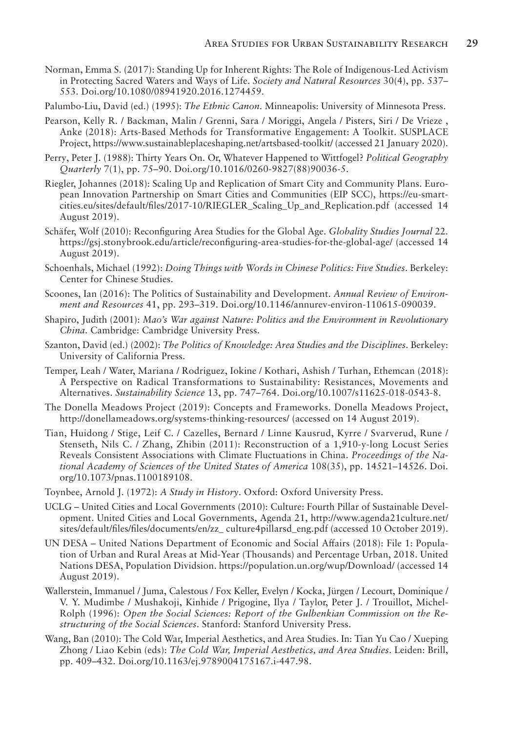- Norman, Emma S. (2017): Standing Up for Inherent Rights: The Role of Indigenous-Led Activism in Protecting Sacred Waters and Ways of Life. *Society and Natural Resources* 30(4), pp. 537– 553. Doi.org/10.1080/08941920.2016.1274459.
- Palumbo-Liu, David (ed.) (1995): *The Ethnic Canon*. Minneapolis: University of Minnesota Press.
- Pearson, Kelly R. / Backman, Malin / Grenni, Sara / Moriggi, Angela / Pisters, Siri / De Vrieze , Anke (2018): Arts-Based Methods for Transformative Engagement: A Toolkit. SUSPLACE Project, https://www.sustainableplaceshaping.net/artsbased-toolkit/ (accessed 21 January 2020).
- Perry, Peter J. (1988): Thirty Years On. Or, Whatever Happened to Wittfogel? *Political Geography Quarterly* 7(1), pp. 75–90. Doi.org/10.1016/0260-9827(88)90036-5.
- Riegler, Johannes (2018): Scaling Up and Replication of Smart City and Community Plans. European Innovation Partnership on Smart Cities and Communities (EIP SCC), https://eu-smartcities. eu/sites/default/files/2017-10/RIEGLER\_Scaling\_Up\_and\_Replication.pdf (accessed 14 August 2019).
- Schäfer, Wolf (2010): Reconfiguring Area Studies for the Global Age. *Globality Studies Journal* 22. https://gsj.stonybrook.edu/article/reconfiguring-area-studies-for-the-global-age/ (accessed 14 August 2019).
- Schoenhals, Michael (1992): *Doing Things with Words in Chinese Politics: Five Studies*. Berkeley: Center for Chinese Studies.
- Scoones, Ian (2016): The Politics of Sustainability and Development. *Annual Review of Environment and Resources* 41, pp. 293–319. Doi.org/10.1146/annurev-environ-110615-090039.
- Shapiro, Judith (2001): *Mao's War against Nature: Politics and the Environment in Revolutionary China*. Cambridge: Cambridge University Press.
- Szanton, David (ed.) (2002): *The Politics of Knowledge: Area Studies and the Disciplines*. Berkeley: University of California Press.
- Temper, Leah / Water, Mariana / Rodriguez, Iokine / Kothari, Ashish / Turhan, Ethemcan (2018): A Perspective on Radical Transformations to Sustainability: Resistances, Movements and Alternatives. *Sustainability Science* 13, pp. 747–764. Doi.org/10.1007/s11625-018-0543-8.
- The Donella Meadows Project (2019): Concepts and Frameworks. Donella Meadows Project, http:// donellameadows.org/systems-thinking-resources/ (accessed on 14 August 2019).
- Tian, Huidong / Stige, Leif C. / Cazelles, Bernard / Linne Kausrud, Kyrre / Svarverud, Rune / Stenseth, Nils C. / Zhang, Zhibin (2011): Reconstruction of a 1,910-y-long Locust Series Reveals Consistent Associations with Climate Fluctuations in China. *Proceedings of the National Academy of Sciences of the United States of America* 108(35), pp. 14521–14526. Doi. org/10.1073/pnas.1100189108.
- Toynbee, Arnold J. (1972): *A Study in History*. Oxford: Oxford University Press.
- UCLG United Cities and Local Governments (2010): Culture: Fourth Pillar of Sustainable Development. United Cities and Local Governments, Agenda 21, http://www.agenda21culture.net/ sites/default/files/files/documents/en/zz\_culture4pillarsd\_eng.pdf (accessed 10 October 2019).
- UN DESA United Nations Department of Economic and Social Affairs (2018): File 1: Population of Urban and Rural Areas at Mid-Year (Thousands) and Percentage Urban, 2018. United Nations DESA, Population Dividsion. https://population.un.org/wup/Download/ (accessed 14 August 2019).
- Wallerstein, Immanuel / Juma, Calestous / Fox Keller, Evelyn / Kocka, Jürgen / Lecourt, Dominique / V. Y. Mudimbe / Mushakoji, Kinhide / Prigogine, Ilya / Taylor, Peter J. / Trouillot, Michel-Rolph (1996): *Open the Social Sciences: Report of the Gulbenkian Commission on the Restructuring of the Social Sciences*. Stanford: Stanford University Press.
- Wang, Ban (2010): The Cold War, Imperial Aesthetics, and Area Studies. In: Tian Yu Cao / Xueping Zhong / Liao Kebin (eds): *The Cold War, Imperial Aesthetics, and Area Studies*. Leiden: Brill, pp. 409–432. Doi.org/10.1163/ej.9789004175167.i-447.98.